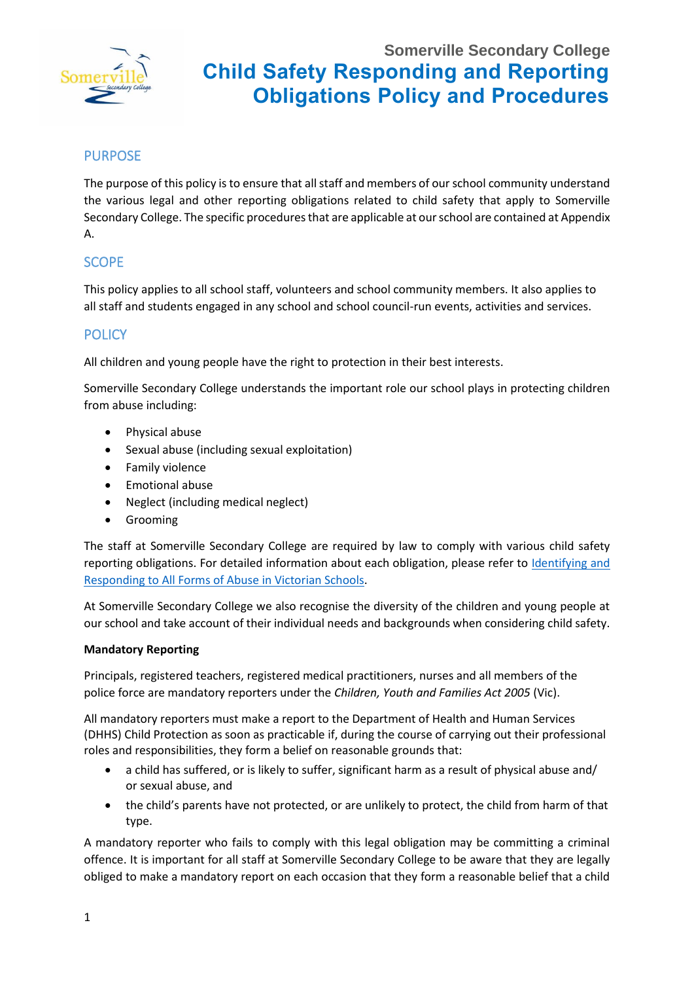

## **PURPOSE**

The purpose of this policy is to ensure that all staff and members of our school community understand the various legal and other reporting obligations related to child safety that apply to Somerville Secondary College. The specific procedures that are applicable at our school are contained at Appendix A.

## **SCOPE**

This policy applies to all school staff, volunteers and school community members. It also applies to all staff and students engaged in any school and school council-run events, activities and services.

## **POLICY**

All children and young people have the right to protection in their best interests.

Somerville Secondary College understands the important role our school plays in protecting children from abuse including:

- Physical abuse
- Sexual abuse (including sexual exploitation)
- Family violence
- Emotional abuse
- Neglect (including medical neglect)
- Grooming

The staff at Somerville Secondary College are required by law to comply with various child safety reporting obligations. For detailed information about each obligation, please refer to Identifying and [Responding to All Forms of Abuse in Victorian Schools.](https://www.education.vic.gov.au/Documents/about/programs/health/protect/ChildSafeStandard5_SchoolsGuide.pdf)

At Somerville Secondary College we also recognise the diversity of the children and young people at our school and take account of their individual needs and backgrounds when considering child safety.

### **Mandatory Reporting**

Principals, registered teachers, registered medical practitioners, nurses and all members of the police force are mandatory reporters under the *Children, Youth and Families Act 2005* (Vic).

All mandatory reporters must make a report to the Department of Health and Human Services (DHHS) Child Protection as soon as practicable if, during the course of carrying out their professional roles and responsibilities, they form a belief on reasonable grounds that:

- a child has suffered, or is likely to suffer, significant harm as a result of physical abuse and/ or sexual abuse, and
- the child's parents have not protected, or are unlikely to protect, the child from harm of that type.

A mandatory reporter who fails to comply with this legal obligation may be committing a criminal offence. It is important for all staff at Somerville Secondary College to be aware that they are legally obliged to make a mandatory report on each occasion that they form a reasonable belief that a child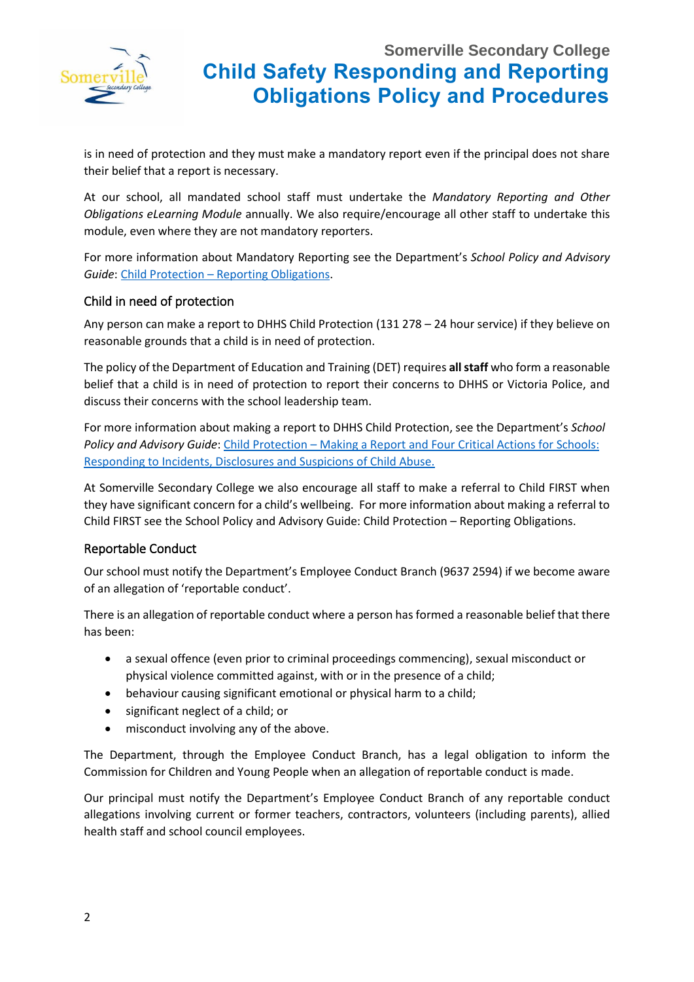

is in need of protection and they must make a mandatory report even if the principal does not share their belief that a report is necessary.

At our school, all mandated school staff must undertake the *Mandatory Reporting and Other Obligations eLearning Module* annually. We also require/encourage all other staff to undertake this module, even where they are not mandatory reporters.

For more information about Mandatory Reporting see the Department's *School Policy and Advisory Guide*: Child Protection – [Reporting Obligations.](http://www.education.vic.gov.au/school/principals/spag/safety/Pages/childprotectobligation.aspx)

### Child in need of protection

Any person can make a report to DHHS Child Protection (131 278 – 24 hour service) if they believe on reasonable grounds that a child is in need of protection.

The policy of the Department of Education and Training (DET) requires **all staff** who form a reasonable belief that a child is in need of protection to report their concerns to DHHS or Victoria Police, and discuss their concerns with the school leadership team.

For more information about making a report to DHHS Child Protection, see the Department's *School Policy and Advisory Guide*: [Child Protection](http://www.education.vic.gov.au/school/principals/spag/safety/Pages/childprotectreporting.aspx) – Making a Report and [Four Critical Actions for Schools:](https://www.education.vic.gov.au/Documents/about/programs/health/protect/FourCriticalActions_ChildAbuse.pdf)  [Responding to Incidents, Disclosures and Suspicions of Child Abuse.](https://www.education.vic.gov.au/Documents/about/programs/health/protect/FourCriticalActions_ChildAbuse.pdf)

At Somerville Secondary College we also encourage all staff to make a referral to Child FIRST when they have significant concern for a child's wellbeing. For more information about making a referral to Child FIRST see the School Policy and Advisory Guide: Child Protection – [Reporting Obligations.](https://www.education.vic.gov.au/school/principals/spag/safety/Pages/childprotectobligation.aspx)

### Reportable Conduct

Our school must notify the Department's Employee Conduct Branch (9637 2594) if we become aware of an allegation of 'reportable conduct'.

There is an allegation of reportable conduct where a person has formed a reasonable belief that there has been:

- a sexual offence (even prior to criminal proceedings commencing), sexual misconduct or physical violence committed against, with or in the presence of a child;
- behaviour causing significant emotional or physical harm to a child;
- significant neglect of a child; or
- misconduct involving any of the above.

The Department, through the Employee Conduct Branch, has a legal obligation to inform the Commission for Children and Young People when an allegation of reportable conduct is made.

Our principal must notify the Department's Employee Conduct Branch of any reportable conduct allegations involving current or former teachers, contractors, volunteers (including parents), allied health staff and school council employees.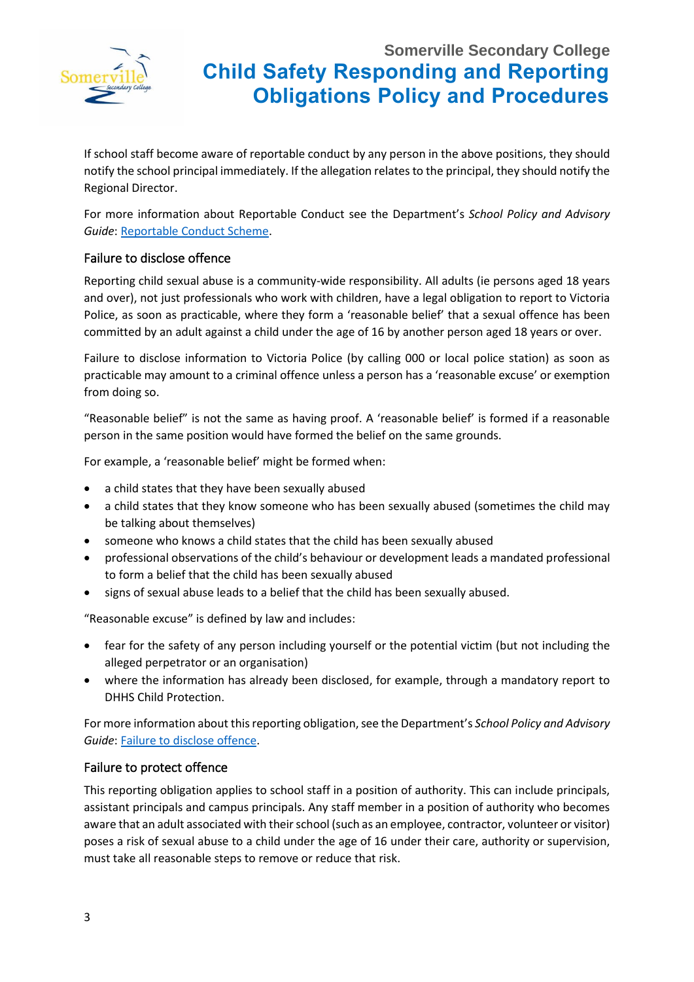

If school staff become aware of reportable conduct by any person in the above positions, they should notify the school principal immediately. If the allegation relates to the principal, they should notify the Regional Director.

For more information about Reportable Conduct see the Department's *School Policy and Advisory Guide*[: Reportable Conduct Scheme.](http://www.education.vic.gov.au/school/principals/spag/safety/Pages/reportableconductscheme.aspx)

### Failure to disclose offence

Reporting child sexual abuse is a community-wide responsibility. All adults (ie persons aged 18 years and over), not just professionals who work with children, have a legal obligation to report to Victoria Police, as soon as practicable, where they form a 'reasonable belief' that a sexual offence has been committed by an adult against a child under the age of 16 by another person aged 18 years or over.

Failure to disclose information to Victoria Police (by calling 000 or local police station) as soon as practicable may amount to a criminal offence unless a person has a 'reasonable excuse' or exemption from doing so.

"Reasonable belief" is not the same as having proof. A 'reasonable belief' is formed if a reasonable person in the same position would have formed the belief on the same grounds.

For example, a 'reasonable belief' might be formed when:

- a child states that they have been sexually abused
- a child states that they know someone who has been sexually abused (sometimes the child may be talking about themselves)
- someone who knows a child states that the child has been sexually abused
- professional observations of the child's behaviour or development leads a mandated professional to form a belief that the child has been sexually abused
- signs of sexual abuse leads to a belief that the child has been sexually abused.

"Reasonable excuse" is defined by law and includes:

- fear for the safety of any person including yourself or the potential victim (but not including the alleged perpetrator or an organisation)
- where the information has already been disclosed, for example, through a mandatory report to DHHS Child Protection.

For more information about this reporting obligation, see the Department's *School Policy and Advisory Guide*[: Failure to disclose offence.](http://www.education.vic.gov.au/school/principals/spag/safety/Pages/childprotectobligation.aspx)

### Failure to protect offence

This reporting obligation applies to school staff in a position of authority. This can include principals, assistant principals and campus principals. Any staff member in a position of authority who becomes aware that an adult associated with their school (such as an employee, contractor, volunteer or visitor) poses a risk of sexual abuse to a child under the age of 16 under their care, authority or supervision, must take all reasonable steps to remove or reduce that risk.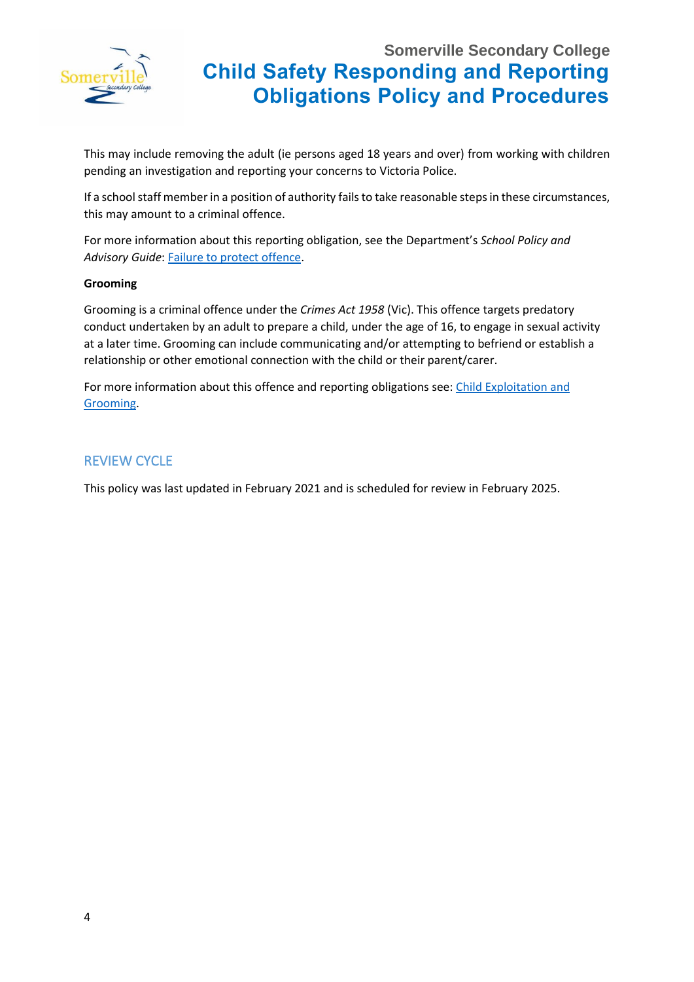

This may include removing the adult (ie persons aged 18 years and over) from working with children pending an investigation and reporting your concerns to Victoria Police.

If a school staff member in a position of authority fails to take reasonable steps in these circumstances, this may amount to a criminal offence.

For more information about this reporting obligation, see the Department's *School Policy and Advisory Guide*: [Failure to protect offence.](http://www.education.vic.gov.au/school/principals/spag/safety/Pages/childprotectobligation.aspx)

### **Grooming**

Grooming is a criminal offence under the *Crimes Act 1958* (Vic). This offence targets predatory conduct undertaken by an adult to prepare a child, under the age of 16, to engage in sexual activity at a later time. Grooming can include communicating and/or attempting to befriend or establish a relationship or other emotional connection with the child or their parent/carer.

For more information about this offence and reporting obligations see: Child Exploitation and [Grooming.](https://www.education.vic.gov.au/school/teachers/health/childprotection/Pages/expolitationgrooming.aspx)

## REVIEW CYCLE

This policy was last updated in February 2021 and is scheduled for review in February 2025.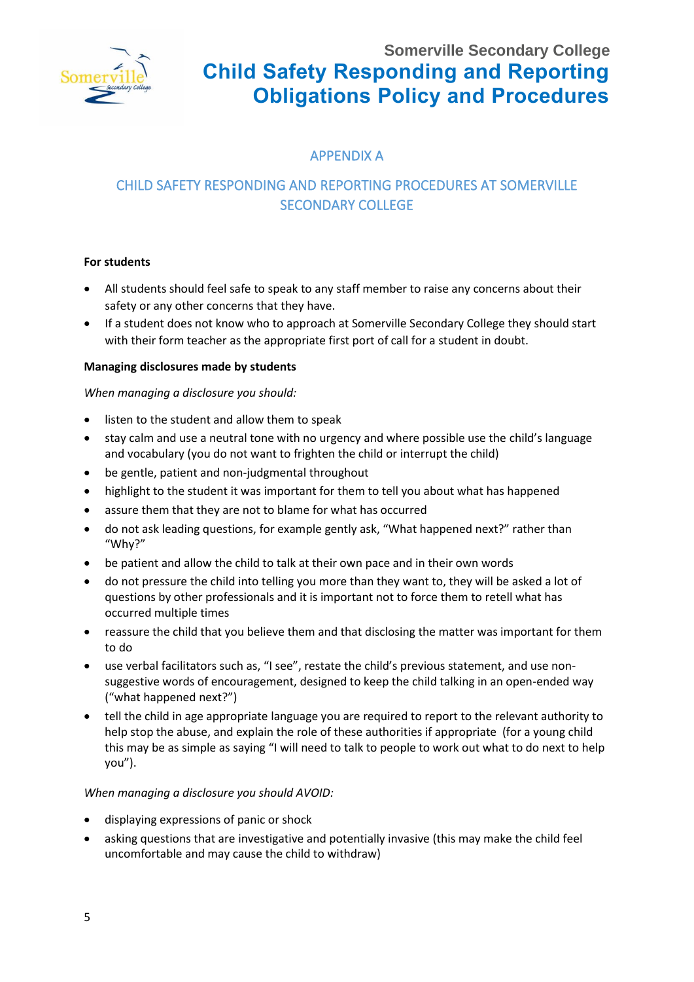

## APPENDIX A

## CHILD SAFETY RESPONDING AND REPORTING PROCEDURES AT SOMERVILLE SECONDARY COLLEGE

### **For students**

- All students should feel safe to speak to any staff member to raise any concerns about their safety or any other concerns that they have.
- If a student does not know who to approach at Somerville Secondary College they should start with their form teacher as the appropriate first port of call for a student in doubt.

### **Managing disclosures made by students**

### *When managing a disclosure you should:*

- listen to the student and allow them to speak
- stay calm and use a neutral tone with no urgency and where possible use the child's language and vocabulary (you do not want to frighten the child or interrupt the child)
- be gentle, patient and non-judgmental throughout
- highlight to the student it was important for them to tell you about what has happened
- assure them that they are not to blame for what has occurred
- do not ask leading questions, for example gently ask, "What happened next?" rather than "Why?"
- be patient and allow the child to talk at their own pace and in their own words
- do not pressure the child into telling you more than they want to, they will be asked a lot of questions by other professionals and it is important not to force them to retell what has occurred multiple times
- reassure the child that you believe them and that disclosing the matter was important for them to do
- use verbal facilitators such as, "I see", restate the child's previous statement, and use nonsuggestive words of encouragement, designed to keep the child talking in an open-ended way ("what happened next?")
- tell the child in age appropriate language you are required to report to the relevant authority to help stop the abuse, and explain the role of these authorities if appropriate (for a young child this may be as simple as saying "I will need to talk to people to work out what to do next to help you").

### *When managing a disclosure you should AVOID:*

- displaying expressions of panic or shock
- asking questions that are investigative and potentially invasive (this may make the child feel uncomfortable and may cause the child to withdraw)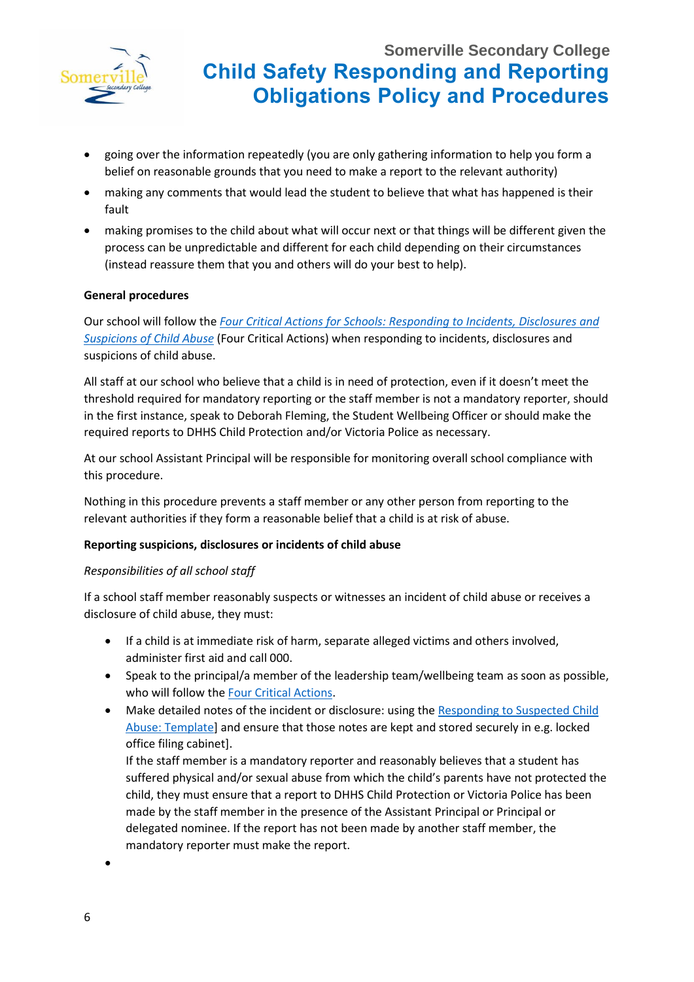

- going over the information repeatedly (you are only gathering information to help you form a belief on reasonable grounds that you need to make a report to the relevant authority)
- making any comments that would lead the student to believe that what has happened is their fault
- making promises to the child about what will occur next or that things will be different given the process can be unpredictable and different for each child depending on their circumstances (instead reassure them that you and others will do your best to help).

### **General procedures**

Our school will follow the *[Four Critical Actions for Schools: Responding to Incidents, Disclosures and](https://www.education.vic.gov.au/Documents/about/programs/health/protect/FourCriticalActions_ChildAbuse.pdf)  [Suspicions of Child Abuse](https://www.education.vic.gov.au/Documents/about/programs/health/protect/FourCriticalActions_ChildAbuse.pdf)* (Four Critical Actions) when responding to incidents, disclosures and suspicions of child abuse.

All staff at our school who believe that a child is in need of protection, even if it doesn't meet the threshold required for mandatory reporting or the staff member is not a mandatory reporter, should in the first instance, speak to Deborah Fleming, the Student Wellbeing Officer or should make the required reports to DHHS Child Protection and/or Victoria Police as necessary.

At our school Assistant Principal will be responsible for monitoring overall school compliance with this procedure.

Nothing in this procedure prevents a staff member or any other person from reporting to the relevant authorities if they form a reasonable belief that a child is at risk of abuse.

### **Reporting suspicions, disclosures or incidents of child abuse**

### *Responsibilities of all school staff*

If a school staff member reasonably suspects or witnesses an incident of child abuse or receives a disclosure of child abuse, they must:

- If a child is at immediate risk of harm, separate alleged victims and others involved, administer first aid and call 000.
- Speak to the principal/a member of the leadership team/wellbeing team as soon as possible, who will follow th[e Four Critical Actions.](https://www.education.vic.gov.au/Documents/about/programs/health/protect/FourCriticalActions_ChildAbuse.pdf)
- Make detailed notes of the incident or disclosure: using the [Responding to Suspected Child](https://www.education.vic.gov.au/Documents/about/programs/health/protect/PROTECT_Schoolstemplate.pdf)  [Abuse: Template\]](https://www.education.vic.gov.au/Documents/about/programs/health/protect/PROTECT_Schoolstemplate.pdf) and ensure that those notes are kept and stored securely in e.g. locked office filing cabinet].

If the staff member is a mandatory reporter and reasonably believes that a student has suffered physical and/or sexual abuse from which the child's parents have not protected the child, they must ensure that a report to DHHS Child Protection or Victoria Police has been made by the staff member in the presence of the Assistant Principal or Principal or delegated nominee. If the report has not been made by another staff member, the mandatory reporter must make the report.

•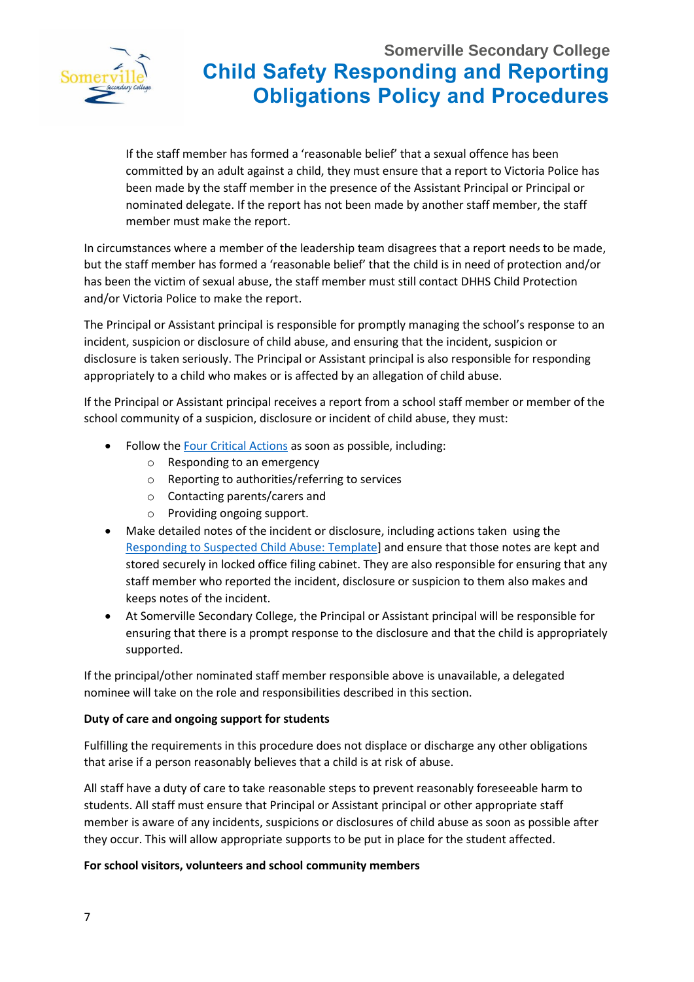

If the staff member has formed a 'reasonable belief' that a sexual offence has been committed by an adult against a child, they must ensure that a report to Victoria Police has been made by the staff member in the presence of the Assistant Principal or Principal or nominated delegate. If the report has not been made by another staff member, the staff member must make the report.

In circumstances where a member of the leadership team disagrees that a report needs to be made, but the staff member has formed a 'reasonable belief' that the child is in need of protection and/or has been the victim of sexual abuse, the staff member must still contact DHHS Child Protection and/or Victoria Police to make the report.

The Principal or Assistant principal is responsible for promptly managing the school's response to an incident, suspicion or disclosure of child abuse, and ensuring that the incident, suspicion or disclosure is taken seriously. The Principal or Assistant principal is also responsible for responding appropriately to a child who makes or is affected by an allegation of child abuse.

If the Principal or Assistant principal receives a report from a school staff member or member of the school community of a suspicion, disclosure or incident of child abuse, they must:

- Follow th[e Four Critical Actions](https://www.education.vic.gov.au/Documents/about/programs/health/protect/FourCriticalActions_ChildAbuse.pdf) as soon as possible, including:
	- o Responding to an emergency
	- o Reporting to authorities/referring to services
	- o Contacting parents/carers and
	- o Providing ongoing support.
- Make detailed notes of the incident or disclosure, including actions taken using the [Responding to Suspected Child Abuse: Template\]](https://www.education.vic.gov.au/Documents/about/programs/health/protect/PROTECT_Schoolstemplate.pdf) and ensure that those notes are kept and stored securely in locked office filing cabinet. They are also responsible for ensuring that any staff member who reported the incident, disclosure or suspicion to them also makes and keeps notes of the incident.
- At Somerville Secondary College, the Principal or Assistant principal will be responsible for ensuring that there is a prompt response to the disclosure and that the child is appropriately supported.

If the principal/other nominated staff member responsible above is unavailable, a delegated nominee will take on the role and responsibilities described in this section.

### **Duty of care and ongoing support for students**

Fulfilling the requirements in this procedure does not displace or discharge any other obligations that arise if a person reasonably believes that a child is at risk of abuse.

All staff have a duty of care to take reasonable steps to prevent reasonably foreseeable harm to students. All staff must ensure that Principal or Assistant principal or other appropriate staff member is aware of any incidents, suspicions or disclosures of child abuse as soon as possible after they occur. This will allow appropriate supports to be put in place for the student affected.

### **For school visitors, volunteers and school community members**